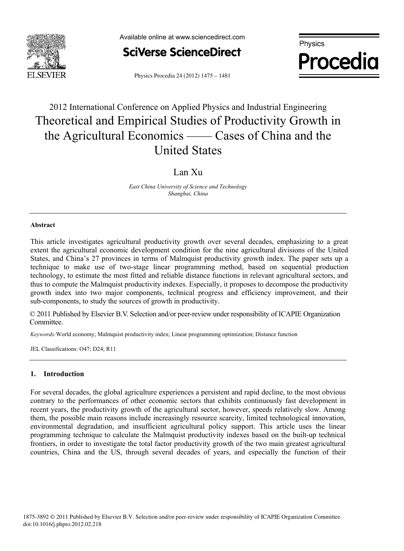



**Procedia**

Physics Procedia 24 (2012) 1475 - 1481

# 2012 International Conference on Applied Physics and Industrial Engineering Theoretical and Empirical Studies of Productivity Growth in the Agricultural Economics —— Cases of China and the United States

### Lan Xu

*East China University of Science and Technology Shanghai, China* 

#### **Abstract**

This article investigates agricultural productivity growth over several decades, emphasizing to a great extent the agricultural economic development condition for the nine agricultural divisions of the United States, and China's 27 provinces in terms of Malmquist productivity growth index. The paper sets up a technique to make use of two-stage linear programming method, based on sequential production technology, to estimate the most fitted and reliable distance functions in relevant agricultural sectors, and thus to compute the Malmquist productivity indexes. Especially, it proposes to decompose the productivity growth index into two major components, technical progress and efficiency improvement, and their sub-components, to study the sources of growth in productivity.

© 2011 Published by Elsevier B.V. Selection and/or peer-review under responsibility of ICAPIE Organization<br>Committee Committee.

*Keywords:*World economy; Malmquist productivity index; Linear programming optimization; Distance function

JEL Classifications: O47; D24; R11

#### **1. Introduction**

For several decades, the global agriculture experiences a persistent and rapid decline, to the most obvious contrary to the performances of other economic sectors that exhibits continuously fast development in recent years, the productivity growth of the agricultural sector, however, speeds relatively slow. Among them, the possible main reasons include increasingly resource scarcity, limited technological innovation, environmental degradation, and insufficient agricultural policy support. This article uses the linear programming technique to calculate the Malmquist productivity indexes based on the built-up technical frontiers, in order to investigate the total factor productivity growth of the two main greatest agricultural countries, China and the US, through several decades of years, and especially the function of their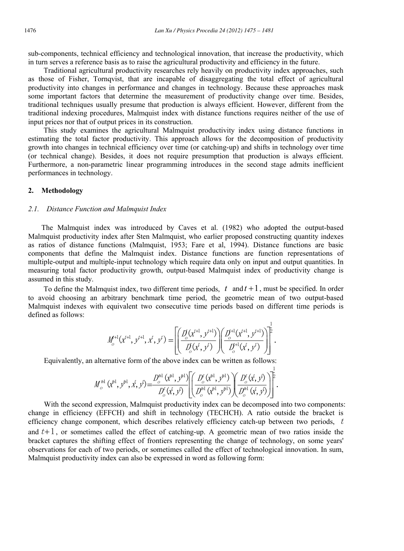sub-components, technical efficiency and technological innovation, that increase the productivity, which in turn serves a reference basis as to raise the agricultural productivity and efficiency in the future.

Traditional agricultural productivity researches rely heavily on productivity index approaches, such as those of Fisher, Tornqvist, that are incapable of disaggregating the total effect of agricultural productivity into changes in performance and changes in technology. Because these approaches mask some important factors that determine the measurement of productivity change over time. Besides, traditional techniques usually presume that production is always efficient. However, different from the traditional indexing procedures, Malmquist index with distance functions requires neither of the use of input prices nor that of output prices in its construction.

This study examines the agricultural Malmquist productivity index using distance functions in estimating the total factor productivity. This approach allows for the decomposition of productivity growth into changes in technical efficiency over time (or catching-up) and shifts in technology over time (or technical change). Besides, it does not require presumption that production is always efficient. Furthermore, a non-parametric linear programming introduces in the second stage admits inefficient performances in technology.

### **2. Methodology**

#### *2.1. Distance Function and Malmquist Index*

The Malmquist index was introduced by Caves et al. (1982) who adopted the output-based Malmquist productivity index after Sten Malmquist, who earlier proposed constructing quantity indexes as ratios of distance functions (Malmquist, 1953; Fare et al, 1994). Distance functions are basic components that define the Malmquist index. Distance functions are function representations of multiple-output and multiple-input technology which require data only on input and output quantities. In measuring total factor productivity growth, output-based Malmquist index of productivity change is assumed in this study.

To define the Malmquist index, two different time periods,  $t$  and  $t + 1$ , must be specified. In order to avoid choosing an arbitrary benchmark time period, the geometric mean of two output-based Malmquist indexes with equivalent two consecutive time periods based on different time periods is defined as follows:

$$
M_o^{t+1}(x^{t+1}, y^{t+1}, x^t, y^t) = \left[ \left( \frac{D_o^t(x^{t+1}, y^{t+1})}{D_o^t(x^t, y^t)} \right) \left( \frac{D_o^{t+1}(x^{t+1}, y^{t+1})}{D_o^{t+1}(x^t, y^t)} \right) \right]^{1/2}.
$$

Equivalently, an alternative form of the above index can be written as follows:

$$
M_o^{\text{H1}}(\vec{x}^{\text{H}}, y^{\text{H}}, \vec{x}, y^{\text{L}}) = \frac{D_o^{\text{H1}}(\vec{x}^{\text{H}}, y^{\text{H1}})}{D_o^{\text{t}}(\vec{x}, y^{\text{L}})} \left[ \left( \frac{D_o^{\text{t}}(\vec{x}^{\text{H}}, y^{\text{H1}})}{D_o^{\text{H1}}(\vec{x}^{\text{H}}, y^{\text{H1}})} \right) \left( \frac{D_o^{\text{t}}(\vec{x}, y^{\text{L}})}{D_o^{\text{H1}}(\vec{x}, y^{\text{L}})} \right) \right]^{2}.
$$

With the second expression, Malmquist productivity index can be decomposed into two components: change in efficiency (EFFCH) and shift in technology (TECHCH). A ratio outside the bracket is efficiency change component, which describes relatively efficiency catch-up between two periods,  $t$ and  $t+1$ , or sometimes called the effect of catching-up. A geometric mean of two ratios inside the bracket captures the shifting effect of frontiers representing the change of technology, on some years' observations for each of two periods, or sometimes called the effect of technological innovation. In sum, Malmquist productivity index can also be expressed in word as following form: